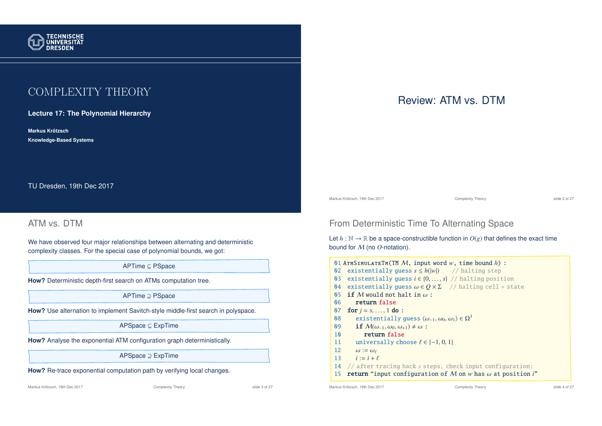

# COMPLEXITY THEORY

**Lecture 17: The Polynomial Hierarchy**

**Markus Krotzsch ¨ Knowledge-Based Systems**

TU Dresden, 19th Dec 2017

# ATM vs. DTM

We have observed four major relationships between alternating and deterministic complexity classes. For the special case of polynomial bounds, we got:

APTime ⊆ PSpace

**How?** Deterministic depth-first search on ATMs computation tree.

APTime ⊇ PSpace

**How?** Use alternation to implement Savitch-style middle-first search in polyspace.

APSpace ⊆ ExpTime

**How?** Analyse the exponential ATM configuration graph deterministically.

APSpace ⊇ ExpTime

**How?** Re-trace exponential computation path by verifying local changes.

Markus Krötzsch, 19th Dec 2017 **Complexity Theory** Complexity Theory slide 3 of 27

Review: ATM vs. DTM

Markus Krötzsch, 19th Dec 2017 Complexity Theory slide 2 of 27

# From Deterministic Time To Alternating Space

Let  $h : \mathbb{N} \to \mathbb{R}$  be a space-constructible function in  $O(g)$  that defines the exact time bound for M (no *O*-notation).

|                | 01 ATMSIMULATETM (TM $M$ , input word w, time bound h) :                           |               |
|----------------|------------------------------------------------------------------------------------|---------------|
| Q <sub>2</sub> | existentially quess $s \leq h( w )$ // halting step                                |               |
| Q <sub>3</sub> | existentially guess $i \in \{0, , s\}$ // halting position                         |               |
| $\sqrt{04}$    | existentially guess $\omega \in Q \times \Sigma$ // halting cell + state           |               |
| $\mathbf{0}5$  | <b>if</b> M would not halt in $\omega$ :                                           |               |
| 06             | return false                                                                       |               |
| 07             | <b>for</b> $i = s, , 1$ <b>do</b> :                                                |               |
| 08             | existentially guess $\langle \omega_{-1}, \omega_0, \omega_1 \rangle \in \Omega^3$ |               |
| 09             | <b>if</b> $\mathcal{M}(\omega_{-1}, \omega_0, \omega_{+1}) \neq \omega$ :          |               |
| 10             | return false                                                                       |               |
| 11             | universally choose $\ell \in \{-1, 0, 1\}$                                         |               |
| 12             | $\omega := \omega_{\ell}$                                                          |               |
| 13             | $i := i + \ell$                                                                    |               |
| 14             | // after tracing back s steps, check input configuration:                          |               |
| 15             | <b>return</b> "input configuration of M on w has $\omega$ at position i"           |               |
|                | Markus Krötzsch, 19th Dec 2017<br>Complexity Theory                                | slide 4 of 27 |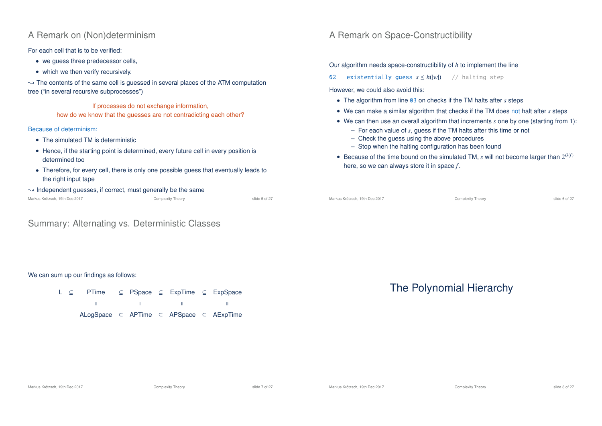## A Remark on (Non)determinism

For each cell that is to be verified:

- we quess three predecessor cells,
- which we then verify recursively.

 $\rightarrow$  The contents of the same cell is guessed in several places of the ATM computation tree ("in several recursive subprocesses")

If processes do not exchange information, how do we know that the guesses are not contradicting each other?

### Because of determinism:

- The simulated TM is deterministic
- Hence, if the starting point is determined, every future cell in every position is determined too
- Therefore, for every cell, there is only one possible guess that eventually leads to the right input tape
- $\rightarrow$  Independent guesses, if correct, must generally be the same

|  | Markus Krötzsch, 19th Dec 2017 |  |  |  |  |
|--|--------------------------------|--|--|--|--|
|--|--------------------------------|--|--|--|--|

Complexity Theory **Complexity** Theory slide 5 of 27

### Summary: Alternating vs. Deterministic Classes

# A Remark on Space-Constructibility

Our algorithm needs space-constructibility of *h* to implement the line

02 existentially guess *s* ≤ *h*(|*w*|) // halting step

However, we could also avoid this:

- The algorithm from line 03 on checks if the TM halts after *s* steps
- We can make a similar algorithm that checks if the TM does not halt after *s* steps
- We can then use an overall algorithm that increments *s* one by one (starting from 1):
	- For each value of *s*, guess if the TM halts after this time or not
	- Check the guess using the above procedures
	- Stop when the halting configuration has been found
- Because of the time bound on the simulated TM,  $s$  will not become larger than  $2^{O(f)}$ here, so we can always store it in space *f* .

| Markus Krötzsch, 19th Dec 2017 | Complexity Theory | slide 6 of 27 |
|--------------------------------|-------------------|---------------|
|                                |                   |               |

#### We can sum up our findings as follows:

L ⊆ PTime ⊆ PSpace ⊆ ExpTime ⊆ ExpSpace  $\mathbf{H}$ ALogSpace ⊆ APTime ⊆ APSpace ⊆ AExpTime

# The Polynomial Hierarchy

Markus Krötzsch, 19th Dec 2017 **Complexity Theory** Complexity Theory slide 7 of 27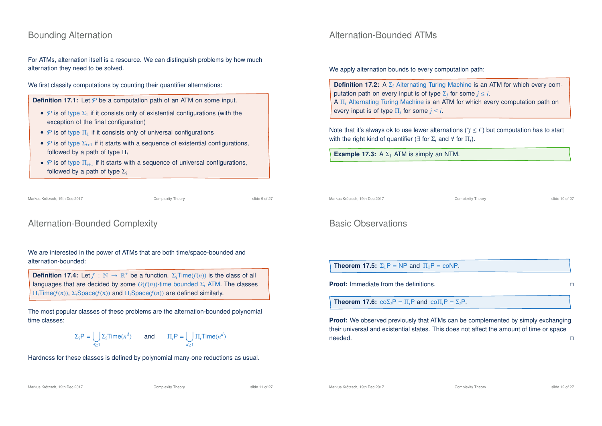## Bounding Alternation

For ATMs, alternation itself is a resource. We can distinguish problems by how much alternation they need to be solved.

We first classify computations by counting their quantifier alternations:

**Definition 17.1:** Let  $P$  be a computation path of an ATM on some input.

- P is of type  $\Sigma_1$  if it consists only of existential configurations (with the exception of the final configuration)
- P is of type  $\Pi_1$  if it consists only of universal configurations
- $P$  is of type  $\Sigma_{i+1}$  if it starts with a sequence of existential configurations, followed by a path of type Π*<sup>i</sup>*
- $\mathcal P$  is of type  $\Pi_{i+1}$  if it starts with a sequence of universal configurations, followed by a path of type  $\Sigma_i$

## Alternation-Bounded Complexity

We are interested in the power of ATMs that are both time/space-bounded and alternation-bounded:

**Definition 17.4:** Let  $f : \mathbb{N} \to \mathbb{R}^+$  be a function.  $\Sigma_i$ Time( $f(n)$ ) is the class of all languages that are decided by some *O*(*f*(*n*))-time bounded Σ*<sup>i</sup>* ATM. The classes Π*i*Time(*f*(*n*)), Σ*i*Space(*f*(*n*)) and Π*i*Space(*f*(*n*)) are defined similarly.

The most popular classes of these problems are the alternation-bounded polynomial time classes:

$$
\Sigma_i \mathsf{P} = \bigcup_{d \ge 1} \Sigma_i \mathsf{Time}(n^d) \qquad \text{and} \qquad \Pi_i \mathsf{P} = \bigcup_{d \ge 1} \Pi_i \mathsf{Time}(n^d)
$$

Hardness for these classes is defined by polynomial many-one reductions as usual.

### Alternation-Bounded ATMs

We apply alternation bounds to every computation path:

**Definition 17.2:** A Σ<sub>*i*</sub> Alternating Turing Machine is an ATM for which every computation path on every input is of type  $\Sigma_j$  for some  $j \leq i$ . A Π*<sup>i</sup>* Alternating Turing Machine is an ATM for which every computation path on every input is of type  $\Pi_j$  for some  $j \leq i$ .

Note that it's always ok to use fewer alternations (" $i \le i$ ") but computation has to start with the right kind of quantifier (∃ for Σ*<sup>i</sup>* and ∀ for Π*i*).

**Example 17.3:** A  $\Sigma_1$  ATM is simply an NTM.

Markus Krötzsch, 19th Dec 2017 Complexity Theory slide 10 of 27

### Basic Observations

**Theorem 17.5:**  $\Sigma_1 P = NP$  and  $\Pi_1 P = \text{coNP}$ .

**Proof:** Immediate from the definitions.

**Theorem 17.6:**  $\cos\Sigma_i P = \prod_i P$  and  $\cos\Pi_i P = \sum_i P$ .

**Proof:** We observed previously that ATMs can be complemented by simply exchanging their universal and existential states. This does not affect the amount of time or space  $\Box$ needed. $\Box$ 

Markus Krötzsch, 19th Dec 2017 **Complexity Theory** Complexity Theory slide 11 of 27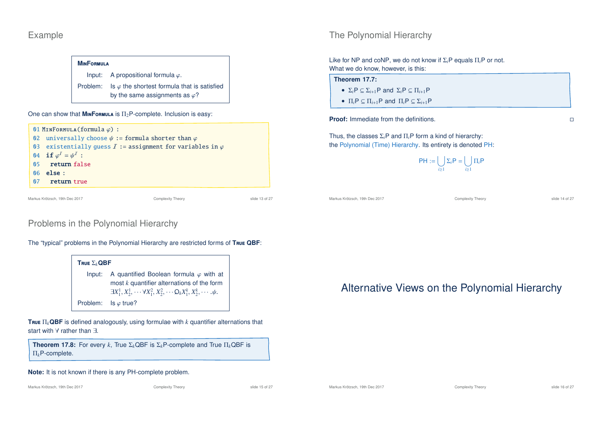## Example

## **M**in**F**ormula

by the same assignments as  $\varphi$ ?

One can show that  $M_{IN}F$ **ORMULA** is  $\Pi_2P$ -complete. Inclusion is easy:



## Problems in the Polynomial Hierarchy

**T**rue Σ*k***QBF** Input: A quantified Boolean formula  $\varphi$  with at most *k* quantifier alternations of the form  $\exists X_1^1, X_2^1, \cdots \forall X_1^2, X_2^2, \cdots \mathsf{O}_k X_1^k, X_2^k, \cdots \psi.$ Problem: Is  $\varphi$  true?

The "typical" problems in the Polynomial Hierarchy are restricted forms of **T**rue **QBF**:

**T**rue Π*k***QBF** is defined analogously, using formulae with *k* quantifier alternations that start with ∀ rather than ∃.

**Theorem 17.8:** For every *k*, True  $\Sigma_k$ QBF is  $\Sigma_k$ P-complete and True  $\Pi_k$ QBF is Π*k*P-complete.

### **Note:** It is not known if there is any PH-complete problem.

# The Polynomial Hierarchy

Like for NP and coNP, we do not know if Σ*i*P equals Π*i*P or not. What we do know, however, is this:

### **Theorem 17.7:**

- $\Sigma_i P \subseteq \Sigma_{i+1} P$  and  $\Sigma_i P \subseteq \Pi_{i+1} P$
- $\Pi_i P \subseteq \Pi_{i+1} P$  and  $\Pi_i P \subseteq \Sigma_{i+1} P$

**Proof:** Immediate from the definitions.

Thus, the classes Σ*i*P and Π*i*P form a kind of hierarchy: the Polynomial (Time) Hierarchy. Its entirety is denoted PH:

> $PH := \begin{bmatrix} \ \ \end{bmatrix}$ *i*≥1  $\Sigma_i$ P =  $\begin{bmatrix} \end{bmatrix}$ *i*≥1 Π*i*P

Markus Krötzsch, 19th Dec 2017 Complexity Theory slide 14 of 27

Alternative Views on the Polynomial Hierarchy



Input: A propositional formula  $\varphi$ . Problem: Is  $\varphi$  the shortest formula that is satisfied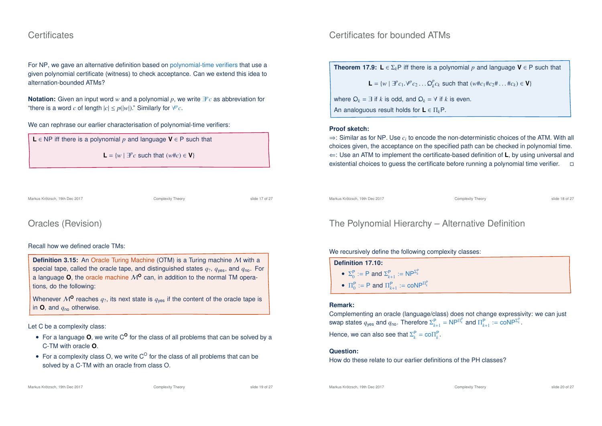### **Certificates**

For NP, we gave an alternative definition based on polynomial-time verifiers that use a given polynomial certificate (witness) to check acceptance. Can we extend this idea to alternation-bounded ATMs?

**Notation:** Given an input word *w* and a polynomial *p*, we write ∃ *p c* as abbreviation for "there is a word *c* of length  $|c| \le p(|w|)$ ." Similarly for  $\forall p c$ .

#### We can rephrase our earlier characterisation of polynomial-time verifiers:



**L** =  $\{w \mid \exists^p c \text{ such that } (w \# c) \in \mathbf{V}\}\$ 

Markus Krötzsch, 19th Dec 2017 Complexity Theory slide 17 of 27

## Oracles (Revision)

### Recall how we defined oracle TMs:

**Definition 3.15:** An Oracle Turing Machine (OTM) is a Turing machine M with a special tape, called the oracle tape, and distinguished states  $q_2$ ,  $q_{\text{ves}}$ , and  $q_{\text{no}}$ . For a language  $O$ , the oracle machine  $M^O$  can, in addition to the normal TM operations, do the following:

Whenever  $M^{\mathbf{0}}$  reaches  $q_2$ , its next state is  $q_{\text{ves}}$  if the content of the oracle tape is in **O**, and *q*no otherwise.

#### Let C be a complexity class:

- For a language **O**, we write C<sup>O</sup> for the class of all problems that can be solved by a C-TM with oracle **O**.
- For a complexity class O, we write  $C^{\circ}$  for the class of all problems that can be solved by a C-TM with an oracle from class O.

### Certificates for bounded ATMs

**Theorem 17.9: L**  $\in \Sigma_k$ P iff there is a polynomial *p* and language **V**  $\in$  P such that

**L** = {*w* | ∃<sup>*p*</sup>  $c_1 \cdot \forall P c_2 \dots Q_k^p c_k$  such that  $(w \# c_1 \# c_2 \# \dots \# c_k) \in \mathbf{V}$ }

where  $Q_k = \exists$  if *k* is odd, and  $Q_k = \forall$  if *k* is even. An analoguous result holds for **L** ∈ Π*k*P.

#### **Proof sketch:**

 $\Rightarrow$ : Similar as for NP. Use  $c_i$  to encode the non-deterministic choices of the ATM. With all choices given, the acceptance on the specified path can be checked in polynomial time. ⇐: Use an ATM to implement the certificate-based definition of **L**, by using universal and existential choices to guess the certificate before running a polynomial time verifier.

Markus Krötzsch, 19th Dec 2017 Complexity Theory slide 18 of 27

## The Polynomial Hierarchy – Alternative Definition

#### We recursively define the following complexity classes:

| <b>Definition 17.10:</b> |                                                             |  |
|--------------------------|-------------------------------------------------------------|--|
|                          | • $\Sigma_0^P := P$ and $\Sigma_{k+1}^P := NP^{\Sigma_k^P}$ |  |
|                          | • $\Pi_0^P := P$ and $\Pi_{k+1}^P := \text{coNP}^{\Pi_k^P}$ |  |

#### **Remark:**

Complementing an oracle (language/class) does not change expressivity: we can just swap states  $q_{\text{yes}}$  and  $q_{\text{no}}$ . Therefore  $\Sigma_{k+1}^{\text{P}} = \text{NP}^{\Pi_k^{\text{P}}}$  and  $\Pi_{k+1}^{\text{P}} := \text{coNP}^{\Sigma_k^{\text{P}}}$ . Hence, we can also see that  $\Sigma_k^P = \text{co}\Pi_k^P$ .

#### **Question:**

How do these relate to our earlier definitions of the PH classes?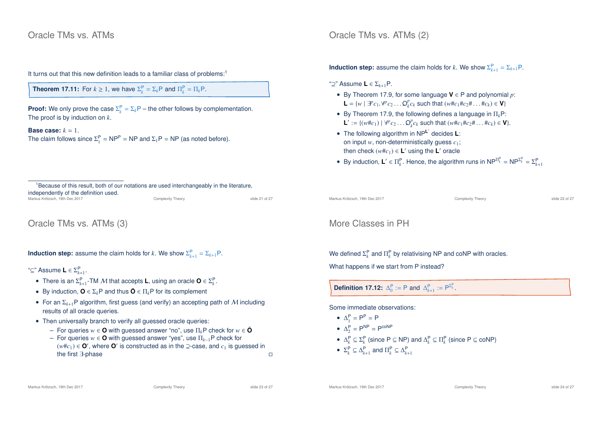### Oracle TMs vs. ATMs

It turns out that this new definition leads to a familiar class of problems:<sup>1</sup>

**Theorem 17.11:** For  $k \geq 1$ , we have  $\Sigma_k^P = \Sigma_k P$  and  $\Pi_k^P = \Pi_k P$ .

**Proof:** We only prove the case  $\Sigma_k^P = \Sigma_k P$  – the other follows by complementation. The proof is by induction on *k*.

**Base case:**  $k = 1$ . The claim follows since  $\Sigma_1^P = NP^P = NP$  and  $\Sigma_1P = NP$  (as noted before).

 $1B$  Because of this result, both of our notations are used interchangeably in the literature, independently of the definition used.

| Markus Krötzsch. 19th Dec 2017 | <b>Complexity Theory</b> | slide 21 of 27 |
|--------------------------------|--------------------------|----------------|
|                                |                          |                |

Oracle TMs vs. ATMs (3)

**Induction step:** assume the claim holds for *k*. We show  $\Sigma_{k+1}^{\mathsf{P}} = \Sigma_{k+1} \mathsf{P}$ .

"⊆" Assume **L** ∈ Σ P *k*+1 .

- There is an  $\Sigma_{k+1}^{\mathsf{P}}$ -TM M that accepts **L**, using an oracle  $\mathbf{O} \in \Sigma_{k}^{\mathsf{P}}$ .
- By induction,  $\mathbf{O} \in \Sigma_k \mathbf{P}$  and thus  $\bar{\mathbf{O}} \in \Pi_k \mathbf{P}$  for its complement
- For an  $\Sigma_{k+1}$ P algorithm, first guess (and verify) an accepting path of M including results of all oracle queries.
- Then universally branch to verify all guessed oracle queries:
	- $−$  For queries *w* ∈ **O** with guessed answer "no", use  $\Pi_k$ P check for *w* ∈ **Ō**
	- For queries *w* ∈ **O** with guessed answer "yes", use Π*<sup>k</sup>*−1P check for  $(w#c_1)$  ∈  $\mathbf{O}'$ , where  $\mathbf{O}'$  is constructed as in the ⊇-case, and  $c_1$  is guessed in the first ∃-phase

Oracle TMs vs. ATMs (2)

**Induction step:** assume the claim holds for *k*. We show  $\Sigma_{k+1}^{\mathsf{P}} = \Sigma_{k+1} \mathsf{P}$ .

"⊇" Assume **L** ∈ Σ*<sup>k</sup>*+1P.

- By Theorem 17.9, for some language **V** ∈ P and polynomial *p*: **L** = {*w* | ∃<sup>*p*</sup>  $c_1 \cdot \forall P c_2 \dots Q_k^p c_k$  such that  $(w \# c_1 \# c_2 \# \dots \# c_k) \in \mathbf{V}$ }
- By Theorem 17.9, the following defines a language in  $\Pi_k$ P: **L**<sup>′</sup> := {(*w*#*c*<sub>1</sub>) | ∀<sup>*p*</sup>*c*<sub>2</sub> . . .  $Q_k^p c_k$  such that (*w*#*c*<sub>1</sub>#*c*<sub>2</sub># . . . #*c*<sub>*k*</sub>) ∈ **V**}.
- The following algorithm in NP<sup>L'</sup> decides L: on input *w*, non-deterministically guess *c*1; then check  $(w \# c_1) \in L'$  using the  $L'$  oracle
- By induction,  $L' \in \Pi_k^P$ . Hence, the algorithm runs in  $NP^{\Pi_k^P} = NP^{\Sigma_k^P} = \Sigma_{k+1}^P$

Markus Krötzsch, 19th Dec 2017 Complexity Theory slide 22 of 27

### More Classes in PH

We defined  $\Sigma_k^{\mathsf{P}}$  and  $\Pi_k^{\mathsf{P}}$  by relativising NP and coNP with oracles.

What happens if we start from P instead?

**Definition 17.12:**  $\Delta_0^P := P$  and  $\Delta_{k+1}^P := P^{\Sigma_k^P}$ .

Some immediate observations:

- $\Delta_1^P = P^P = P$
- $\Delta_2^P = P^{NP} = P^{coNP}$
- $\Delta_k^P \subseteq \Sigma_k^P$  (since P  $\subseteq$  NP) and  $\Delta_k^P \subseteq \Pi_k^P$  (since P  $\subseteq$  coNP)
- $\Sigma_k^{\mathsf{P}} \subseteq \Delta_{k+1}^{\mathsf{P}}$  and  $\Pi_k^{\mathsf{P}} \subseteq \Delta_{k+1}^{\mathsf{P}}$